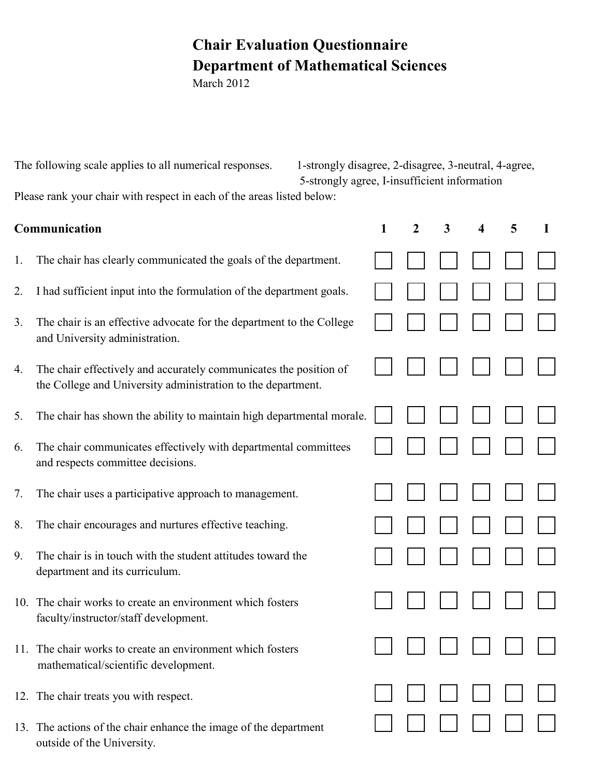# **Chair Evaluation Questionnaire Department of Mathematical Sciences**

March 2012

The following scale applies to all numerical responses. 1-strongly disagree, 2-disagree, 3-neutral, 4-agree,

5-strongly agree, I-insufficient information

Please rank your chair with respect in each of the areas listed below:

- 1. The chair has clearly communicated the goals of the department.
- 2. I had sufficient input into the formulation of the department g
- 3. The chair is an effective advocate for the department to the  $C_0$ and University administration.
- 4. The chair effectively and accurately communicates the position the College and University administration to the department.
- 5. The chair has shown the ability to maintain high departmental
- 6. The chair communicates effectively with departmental comm and respects committee decisions.
- 7. The chair uses a participative approach to management.
- 8. The chair encourages and nurtures effective teaching.
- 9. The chair is in touch with the student attitudes toward the department and its curriculum.
- 10. The chair works to create an environment which fosters faculty/instructor/staff development.
- 11. The chair works to create an environment which fosters mathematical/scientific development.
- 12. The chair treats you with respect.
- 13. The actions of the chair enhance the image of the department outside of the University.

| Communication |                                                                                                                                   | 1 | 2 | 3 | 4 | 5 |  |
|---------------|-----------------------------------------------------------------------------------------------------------------------------------|---|---|---|---|---|--|
| 1.            | The chair has clearly communicated the goals of the department.                                                                   |   |   |   |   |   |  |
| 2.            | I had sufficient input into the formulation of the department goals.                                                              |   |   |   |   |   |  |
| 3.            | The chair is an effective advocate for the department to the College<br>and University administration.                            |   |   |   |   |   |  |
| 4.            | The chair effectively and accurately communicates the position of<br>the College and University administration to the department. |   |   |   |   |   |  |
| 5.            | The chair has shown the ability to maintain high departmental morale.                                                             |   |   |   |   |   |  |
| 6.            | The chair communicates effectively with departmental committees<br>and respects committee decisions.                              |   |   |   |   |   |  |
| 7.            | The chair uses a participative approach to management.                                                                            |   |   |   |   |   |  |
| 8.            | The chair encourages and nurtures effective teaching.                                                                             |   |   |   |   |   |  |
| 9.            | The chair is in touch with the student attitudes toward the<br>department and its curriculum.                                     |   |   |   |   |   |  |
|               | 10. The chair works to create an environment which fosters<br>faculty/instructor/staff development.                               |   |   |   |   |   |  |
|               | 11. The chair works to create an environment which fosters<br>mathematical/scientific development.                                |   |   |   |   |   |  |
|               | 12. The chair treats you with respect.                                                                                            |   |   |   |   |   |  |
|               | 13. The actions of the chair enhance the image of the department<br>outside of the University.                                    |   |   |   |   |   |  |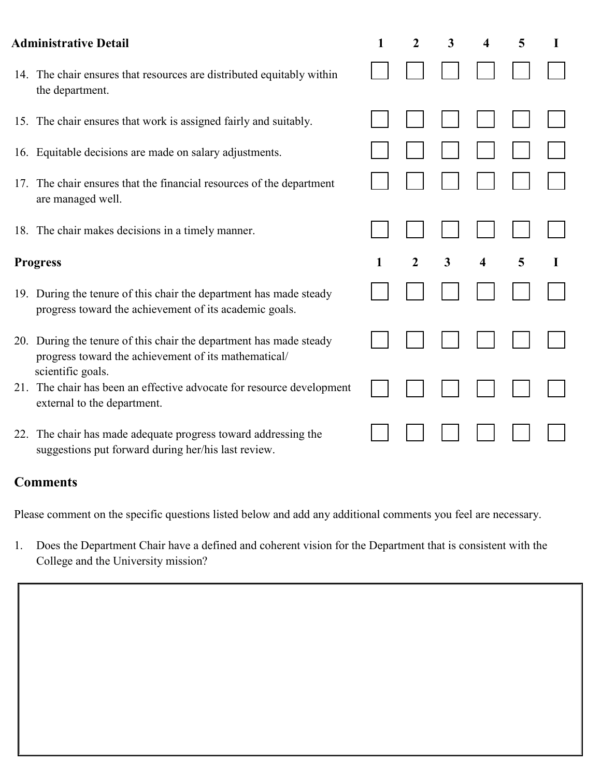### **Administrative Detail**

- 14. The chair ensures that resources are distributed equitably within the department.
- 15. The chair ensures that work is assigned fairly and suitably.
- 16. Equitable decisions are made on salary adjustments.
- 17. The chair ensures that the financial resources of the department are managed well.
- 18. The chair makes decisions in a timely manner.

- 19. During the tenure of this chair the department has made steady progress toward the achievement of its academic goals.
- 20. During the tenure of this chair the department has made steady progress toward the achievement of its mathematical/ scientific goals.
- 21. The chair has been an effective advocate for resource development external to the department.
- 22. The chair has made adequate progress toward addressing the suggestions put forward during her/his last review.

### **Comments**

Please comment on the specific questions listed below and add any additional comments you feel are necessary.

1. Does the Department Chair have a defined and coherent vision for the Department that is consistent with the College and the University mission?

| <b>Administrative Detail</b> |                                                                                                                              | 1 | $\boldsymbol{2}$ | $\mathbf{3}$ | 4                       | 5 | L |
|------------------------------|------------------------------------------------------------------------------------------------------------------------------|---|------------------|--------------|-------------------------|---|---|
|                              | 14. The chair ensures that resources are distributed equitably within<br>the department.                                     |   |                  |              |                         |   |   |
|                              | 15. The chair ensures that work is assigned fairly and suitably.                                                             |   |                  |              |                         |   |   |
|                              | 16. Equitable decisions are made on salary adjustments.                                                                      |   |                  |              |                         |   |   |
|                              | 17. The chair ensures that the financial resources of the department<br>are managed well.                                    |   |                  |              |                         |   |   |
|                              | 18. The chair makes decisions in a timely manner.                                                                            |   |                  |              |                         |   |   |
| <b>Progress</b>              |                                                                                                                              | 1 | $\overline{2}$   | $\mathbf{3}$ | $\overline{\mathbf{4}}$ | 5 | 1 |
|                              | 19. During the tenure of this chair the department has made steady<br>progress toward the achievement of its academic goals. |   |                  |              |                         |   |   |
|                              | 20. During the tenure of this chair the department has made steady<br>progress toward the achievement of its mathematical/   |   |                  |              |                         |   |   |
|                              | scientific goals.<br>21. The chair has been an effective advocate for resource development<br>external to the department.    |   |                  |              |                         |   |   |
|                              | 22. The chair has made adequate progress toward addressing the                                                               |   |                  |              |                         |   |   |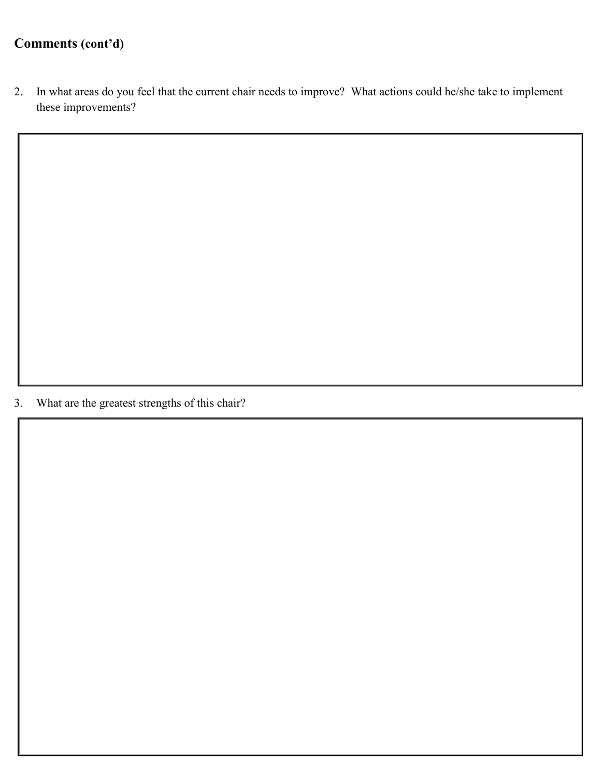## **Comments (cont'd)**

2. In what areas do you feel that the current chair needs to improve? What actions could he/she take to implement these improvements?

3. What are the greatest strengths of this chair?